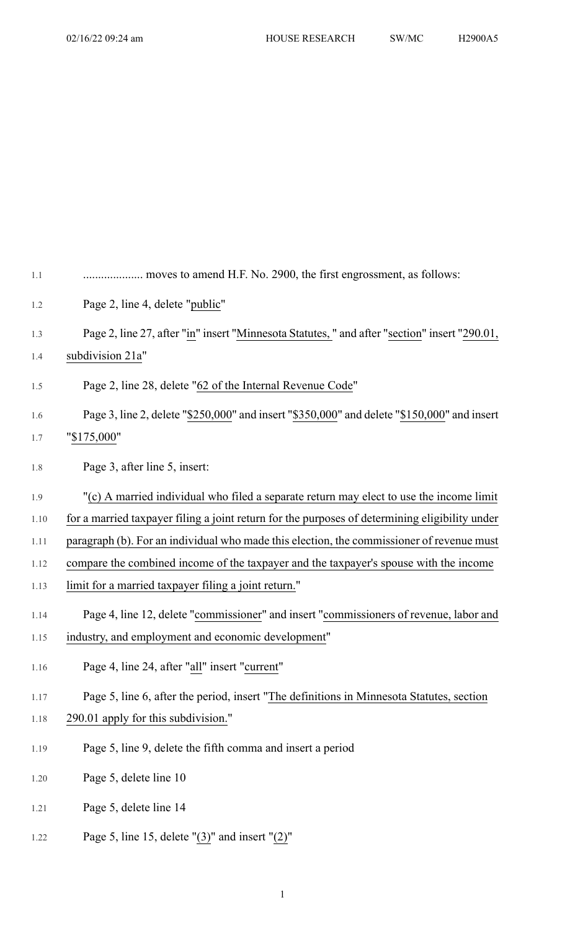| 1.1     |                                                                                                |
|---------|------------------------------------------------------------------------------------------------|
| 1.2     | Page 2, line 4, delete "public"                                                                |
| 1.3     | Page 2, line 27, after "in" insert "Minnesota Statutes, " and after "section" insert "290.01,  |
| 1.4     | subdivision 21a"                                                                               |
| 1.5     | Page 2, line 28, delete "62 of the Internal Revenue Code"                                      |
| 1.6     | Page 3, line 2, delete "\$250,000" and insert "\$350,000" and delete "\$150,000" and insert    |
| 1.7     | "\$175,000"                                                                                    |
| $1.8\,$ | Page 3, after line 5, insert:                                                                  |
| 1.9     | "(c) A married individual who filed a separate return may elect to use the income limit        |
| 1.10    | for a married taxpayer filing a joint return for the purposes of determining eligibility under |
| 1.11    | paragraph (b). For an individual who made this election, the commissioner of revenue must      |
| 1.12    | compare the combined income of the taxpayer and the taxpayer's spouse with the income          |
| 1.13    | limit for a married taxpayer filing a joint return."                                           |
| 1.14    | Page 4, line 12, delete "commissioner" and insert "commissioners of revenue, labor and         |
| 1.15    | industry, and employment and economic development"                                             |
| 1.16    | Page 4, line 24, after "all" insert "current"                                                  |
| 1.17    | Page 5, line 6, after the period, insert "The definitions in Minnesota Statutes, section       |
| 1.18    | 290.01 apply for this subdivision."                                                            |
| 1.19    | Page 5, line 9, delete the fifth comma and insert a period                                     |
| 1.20    | Page 5, delete line 10                                                                         |
| 1.21    | Page 5, delete line 14                                                                         |
|         |                                                                                                |

1.22 Page 5, line 15, delete " $(3)$ " and insert " $(2)$ "

1